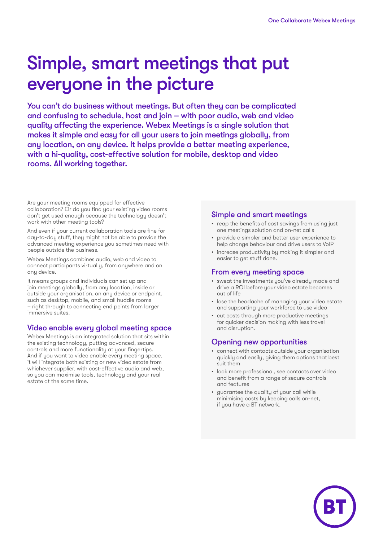# Simple, smart meetings that put everyone in the picture

You can't do business without meetings. But often they can be complicated and confusing to schedule, host and join – with poor audio, web and video quality affecting the experience. Webex Meetings is a single solution that makes it simple and easy for all your users to join meetings globally, from any location, on any device. It helps provide a better meeting experience, with a hi-quality, cost-effective solution for mobile, desktop and video rooms. All working together.

Are your meeting rooms equipped for effective collaboration? Or do you find your existing video rooms don't get used enough because the technology doesn't work with other meeting tools?

And even if your current collaboration tools are fine for day-to-day stuff, they might not be able to provide the advanced meeting experience you sometimes need with people outside the business.

Webex Meetings combines audio, web and video to connect participants virtually, from anywhere and on any device.

It means groups and individuals can set up and join meetings globally, from any location, inside or outside your organisation, on any device or endpoint, such as desktop, mobile, and small huddle rooms – right through to connecting end points from larger immersive suites.

## Video enable every global meeting space

Webex Meetings is an integrated solution that sits within the existing technology, putting advanced, secure controls and more functionality at your fingertips. And if you want to video enable every meeting space, it will integrate both existing or new video estate from whichever supplier, with cost-effective audio and web, so you can maximise tools, technology and your real estate at the same time.

#### Simple and smart meetings

- reap the benefits of cost savinas from using just one meetings solution and on-net calls
- provide a simpler and better user experience to help change behaviour and drive users to VoIP
- increase productivity by making it simpler and easier to get stuff done.

#### From every meeting space

- sweat the investments you've already made and drive a ROI before your video estate becomes out of life
- lose the headache of managing your video estate and supporting your workforce to use video
- cut costs through more productive meetings for quicker decision making with less travel and disruption.

## Opening new opportunities

- connect with contacts outside your organisation quickly and easily, giving them options that best suit them
- look more professional, see contacts over video and benefit from a range of secure controls and features
- guarantee the quality of your call while minimising costs by keeping calls on-net, if you have a BT network.